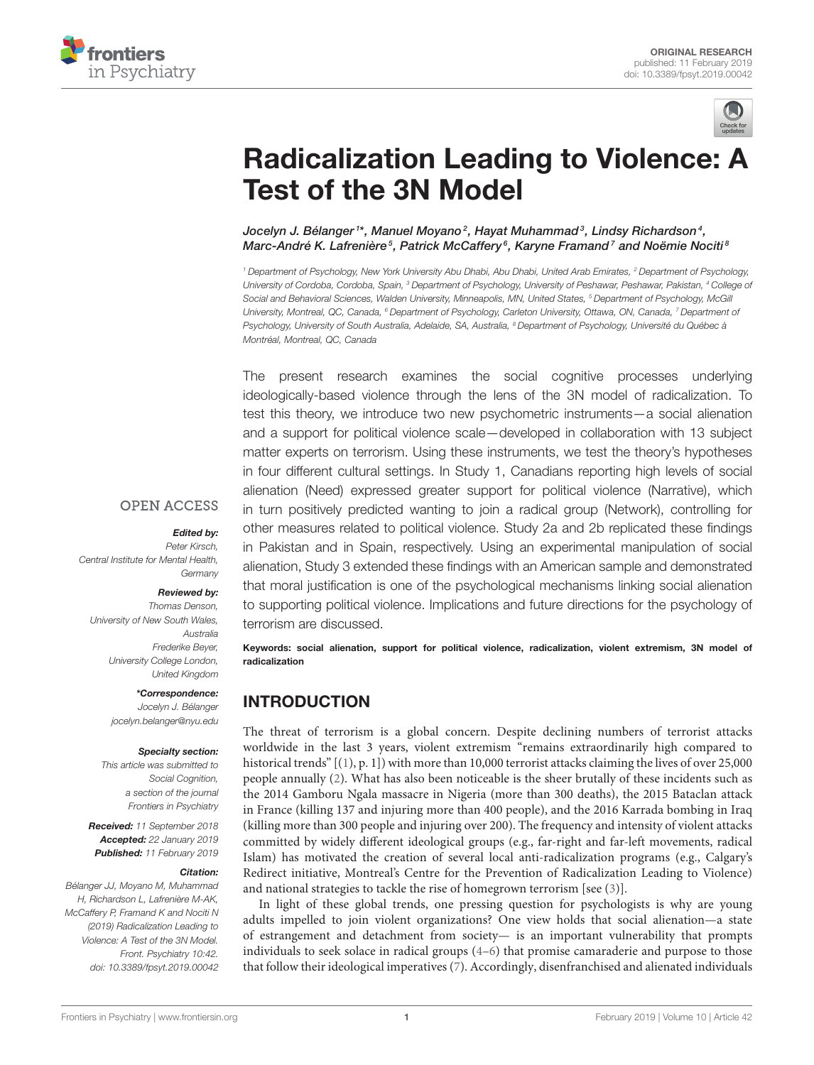



# [Radicalization Leading to Violence: A](https://www.frontiersin.org/articles/10.3389/fpsyt.2019.00042/full) Test of the 3N Model

[Jocelyn J. Bélanger](http://loop.frontiersin.org/people/552645/overview)  $^{\text{1}*}$ , [Manuel Moyano](http://loop.frontiersin.org/people/555855/overview) $^{\text{2}}$ , [Hayat Muhammad](http://loop.frontiersin.org/people/517768/overview) $^{\text{3}}$ , [Lindsy Richardson](http://loop.frontiersin.org/people/613187/overview) $^{\text{4}}$ , Marc-André K. Lafrenière<sup>5</sup>, [Patrick McCaffery](http://loop.frontiersin.org/people/678970/overview)<sup>6</sup>, [Karyne Framand](http://loop.frontiersin.org/people/666943/overview)<sup>7</sup> and Noëmie Nociti<sup>s</sup>

<sup>1</sup> Department of Psychology, New York University Abu Dhabi, Abu Dhabi, United Arab Emirates, <sup>2</sup> Department of Psychology, University of Cordoba, Cordoba, Spain, <sup>3</sup> Department of Psychology, University of Peshawar, Peshawar, Pakistan, <sup>4</sup> College of Social and Behavioral Sciences, Walden University, Minneapolis, MN, United States, <sup>5</sup> Department of Psychology, McGill University, Montreal, QC, Canada, <sup>6</sup> Department of Psychology, Carleton University, Ottawa, ON, Canada, <sup>7</sup> Department of Psychology, University of South Australia, Adelaide, SA, Australia, <sup>8</sup> Department of Psychology, Université du Québec à Montréal, Montreal, QC, Canada

The present research examines the social cognitive processes underlying ideologically-based violence through the lens of the 3N model of radicalization. To test this theory, we introduce two new psychometric instruments—a social alienation and a support for political violence scale—developed in collaboration with 13 subject matter experts on terrorism. Using these instruments, we test the theory's hypotheses in four different cultural settings. In Study 1, Canadians reporting high levels of social alienation (Need) expressed greater support for political violence (Narrative), which in turn positively predicted wanting to join a radical group (Network), controlling for other measures related to political violence. Study 2a and 2b replicated these findings in Pakistan and in Spain, respectively. Using an experimental manipulation of social alienation, Study 3 extended these findings with an American sample and demonstrated that moral justification is one of the psychological mechanisms linking social alienation to supporting political violence. Implications and future directions for the psychology of terrorism are discussed.

Keywords: social alienation, support for political violence, radicalization, violent extremism, 3N model of radicalization

# INTRODUCTION

The threat of terrorism is a global concern. Despite declining numbers of terrorist attacks worldwide in the last 3 years, violent extremism "remains extraordinarily high compared to historical trends" [[\(1\)](#page-10-0), p. 1]) with more than 10,000 terrorist attacks claiming the lives of over 25,000 people annually [\(2\)](#page-10-1). What has also been noticeable is the sheer brutally of these incidents such as the 2014 Gamboru Ngala massacre in Nigeria (more than 300 deaths), the 2015 Bataclan attack in France (killing 137 and injuring more than 400 people), and the 2016 Karrada bombing in Iraq (killing more than 300 people and injuring over 200). The frequency and intensity of violent attacks committed by widely different ideological groups (e.g., far-right and far-left movements, radical Islam) has motivated the creation of several local anti-radicalization programs (e.g., Calgary's Redirect initiative, Montreal's Centre for the Prevention of Radicalization Leading to Violence) and national strategies to tackle the rise of homegrown terrorism [see [\(3\)](#page-10-2)].

In light of these global trends, one pressing question for psychologists is why are young adults impelled to join violent organizations? One view holds that social alienation—a state of estrangement and detachment from society— is an important vulnerability that prompts individuals to seek solace in radical groups [\(4–](#page-10-3)[6\)](#page-10-4) that promise camaraderie and purpose to those that follow their ideological imperatives [\(7\)](#page-10-5). Accordingly, disenfranchised and alienated individuals

## **OPEN ACCESS**

#### Edited by:

Peter Kirsch, Central Institute for Mental Health, **Germany** 

#### Reviewed by:

Thomas Denson, University of New South Wales, Australia Frederike Beyer, University College London, United Kingdom

\*Correspondence:

Jocelyn J. Bélanger [jocelyn.belanger@nyu.edu](mailto:jocelyn.belanger@nyu.edu)

#### Specialty section:

This article was submitted to Social Cognition, a section of the journal Frontiers in Psychiatry

Received: 11 September 2018 Accepted: 22 January 2019 Published: 11 February 2019

#### Citation:

Bélanger JJ, Moyano M, Muhammad H, Richardson L, Lafrenière M-AK, McCaffery P, Framand K and Nociti N (2019) Radicalization Leading to Violence: A Test of the 3N Model. Front. Psychiatry 10:42. doi: [10.3389/fpsyt.2019.00042](https://doi.org/10.3389/fpsyt.2019.00042)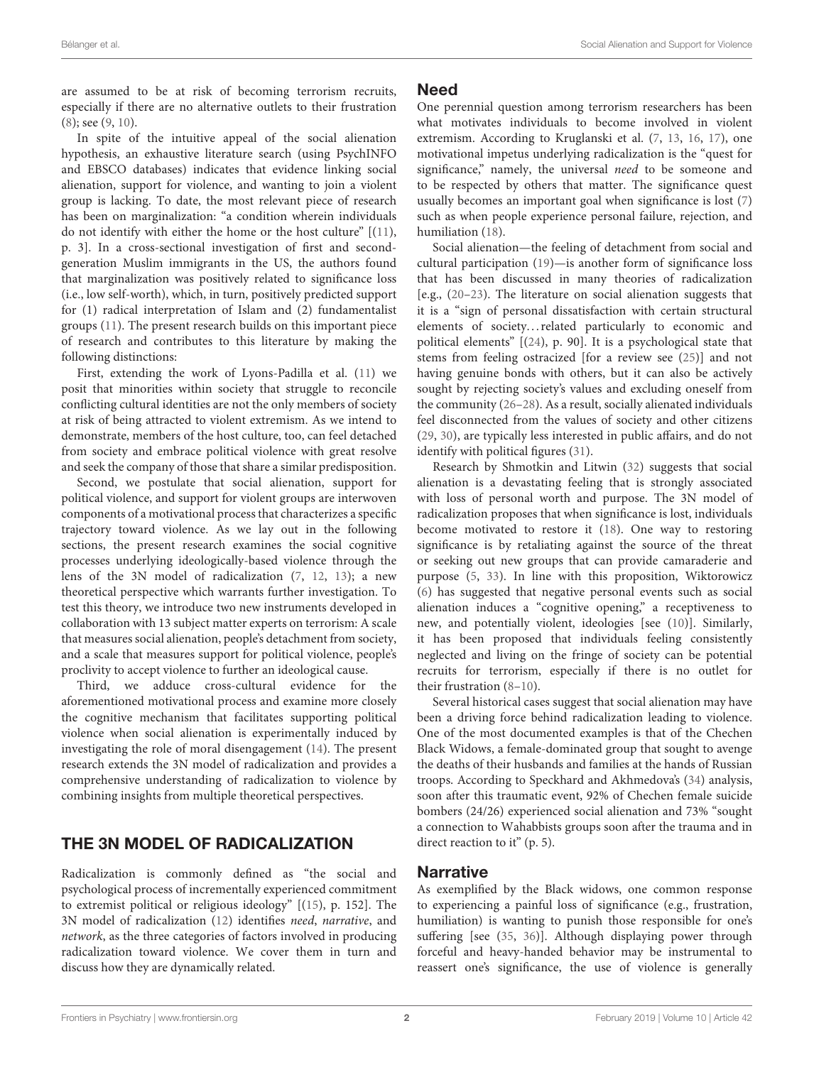are assumed to be at risk of becoming terrorism recruits, especially if there are no alternative outlets to their frustration [\(8\)](#page-10-6); see [\(9,](#page-10-7) [10\)](#page-10-8).

In spite of the intuitive appeal of the social alienation hypothesis, an exhaustive literature search (using PsychINFO and EBSCO databases) indicates that evidence linking social alienation, support for violence, and wanting to join a violent group is lacking. To date, the most relevant piece of research has been on marginalization: "a condition wherein individuals do not identify with either the home or the host culture" [[\(11\)](#page-10-9), p. 3]. In a cross-sectional investigation of first and secondgeneration Muslim immigrants in the US, the authors found that marginalization was positively related to significance loss (i.e., low self-worth), which, in turn, positively predicted support for (1) radical interpretation of Islam and (2) fundamentalist groups [\(11\)](#page-10-9). The present research builds on this important piece of research and contributes to this literature by making the following distinctions:

First, extending the work of Lyons-Padilla et al. [\(11\)](#page-10-9) we posit that minorities within society that struggle to reconcile conflicting cultural identities are not the only members of society at risk of being attracted to violent extremism. As we intend to demonstrate, members of the host culture, too, can feel detached from society and embrace political violence with great resolve and seek the company of those that share a similar predisposition.

Second, we postulate that social alienation, support for political violence, and support for violent groups are interwoven components of a motivational process that characterizes a specific trajectory toward violence. As we lay out in the following sections, the present research examines the social cognitive processes underlying ideologically-based violence through the lens of the 3N model of radicalization [\(7,](#page-10-5) [12,](#page-10-10) [13\)](#page-10-11); a new theoretical perspective which warrants further investigation. To test this theory, we introduce two new instruments developed in collaboration with 13 subject matter experts on terrorism: A scale that measures social alienation, people's detachment from society, and a scale that measures support for political violence, people's proclivity to accept violence to further an ideological cause.

Third, we adduce cross-cultural evidence for the aforementioned motivational process and examine more closely the cognitive mechanism that facilitates supporting political violence when social alienation is experimentally induced by investigating the role of moral disengagement [\(14\)](#page-10-12). The present research extends the 3N model of radicalization and provides a comprehensive understanding of radicalization to violence by combining insights from multiple theoretical perspectives.

# THE 3N MODEL OF RADICALIZATION

Radicalization is commonly defined as "the social and psychological process of incrementally experienced commitment to extremist political or religious ideology" [[\(15\)](#page-10-13), p. 152]. The 3N model of radicalization [\(12\)](#page-10-10) identifies need, narrative, and network, as the three categories of factors involved in producing radicalization toward violence. We cover them in turn and discuss how they are dynamically related.

#### Need

One perennial question among terrorism researchers has been what motivates individuals to become involved in violent extremism. According to Kruglanski et al. [\(7,](#page-10-5) [13,](#page-10-11) [16,](#page-10-14) [17\)](#page-10-15), one motivational impetus underlying radicalization is the "quest for significance," namely, the universal *need* to be someone and to be respected by others that matter. The significance quest usually becomes an important goal when significance is lost [\(7\)](#page-10-5) such as when people experience personal failure, rejection, and humiliation [\(18\)](#page-10-16).

Social alienation—the feeling of detachment from social and cultural participation [\(19\)](#page-10-17)—is another form of significance loss that has been discussed in many theories of radicalization [e.g., [\(20](#page-10-18)[–23\)](#page-10-19). The literature on social alienation suggests that it is a "sign of personal dissatisfaction with certain structural elements of society...related particularly to economic and political elements" [[\(24\)](#page-10-20), p. 90]. It is a psychological state that stems from feeling ostracized [for a review see [\(25\)](#page-10-21)] and not having genuine bonds with others, but it can also be actively sought by rejecting society's values and excluding oneself from the community [\(26](#page-10-22)[–28\)](#page-10-23). As a result, socially alienated individuals feel disconnected from the values of society and other citizens [\(29,](#page-10-24) [30\)](#page-10-25), are typically less interested in public affairs, and do not identify with political figures [\(31\)](#page-10-26).

Research by Shmotkin and Litwin [\(32\)](#page-10-27) suggests that social alienation is a devastating feeling that is strongly associated with loss of personal worth and purpose. The 3N model of radicalization proposes that when significance is lost, individuals become motivated to restore it [\(18\)](#page-10-16). One way to restoring significance is by retaliating against the source of the threat or seeking out new groups that can provide camaraderie and purpose [\(5,](#page-10-28) [33\)](#page-10-29). In line with this proposition, Wiktorowicz [\(6\)](#page-10-4) has suggested that negative personal events such as social alienation induces a "cognitive opening," a receptiveness to new, and potentially violent, ideologies [see [\(10\)](#page-10-8)]. Similarly, it has been proposed that individuals feeling consistently neglected and living on the fringe of society can be potential recruits for terrorism, especially if there is no outlet for their frustration [\(8](#page-10-6)[–10\)](#page-10-8).

Several historical cases suggest that social alienation may have been a driving force behind radicalization leading to violence. One of the most documented examples is that of the Chechen Black Widows, a female-dominated group that sought to avenge the deaths of their husbands and families at the hands of Russian troops. According to Speckhard and Akhmedova's [\(34\)](#page-10-30) analysis, soon after this traumatic event, 92% of Chechen female suicide bombers (24/26) experienced social alienation and 73% "sought a connection to Wahabbists groups soon after the trauma and in direct reaction to it" (p. 5).

#### **Narrative**

As exemplified by the Black widows, one common response to experiencing a painful loss of significance (e.g., frustration, humiliation) is wanting to punish those responsible for one's suffering [see [\(35,](#page-10-31) [36\)](#page-11-0)]. Although displaying power through forceful and heavy-handed behavior may be instrumental to reassert one's significance, the use of violence is generally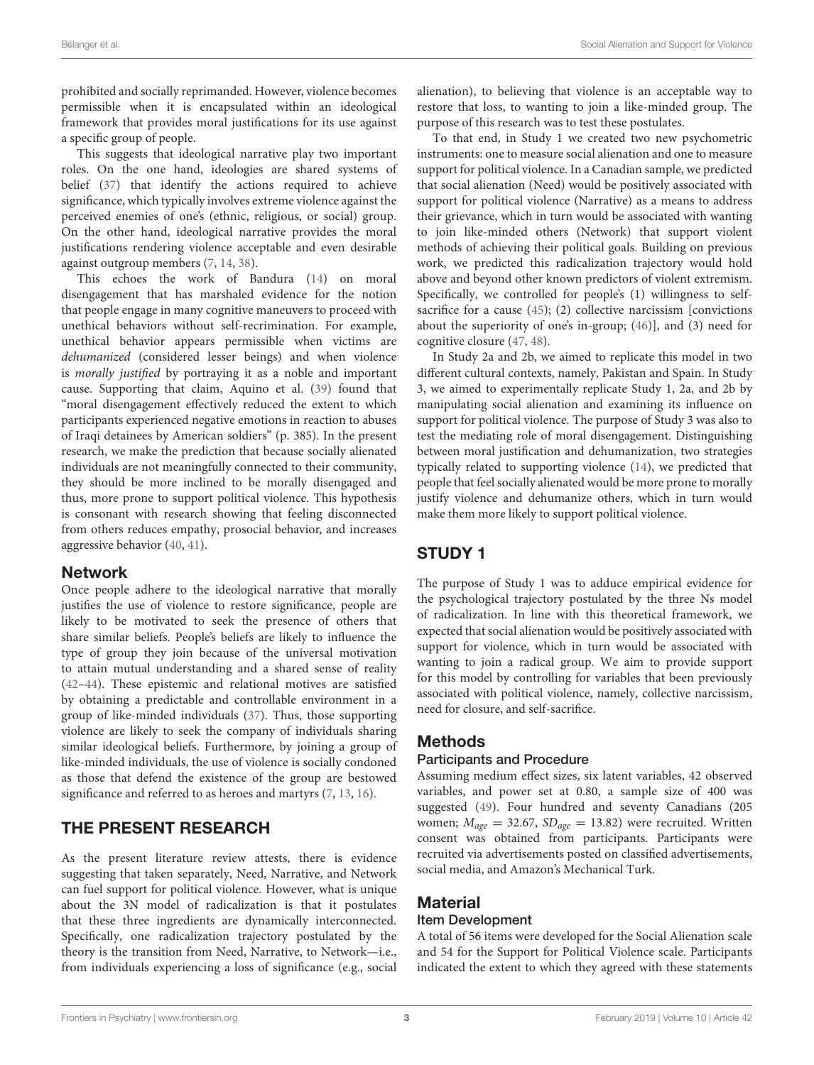prohibited and socially reprimanded. However, violence becomes permissible when it is encapsulated within an ideological framework that provides moral justifications for its use against a specific group of people.

This suggests that ideological narrative play two important roles. On the one hand, ideologies are shared systems of belief [\(37\)](#page-11-1) that identify the actions required to achieve significance, which typically involves extreme violence against the perceived enemies of one's (ethnic, religious, or social) group. On the other hand, ideological narrative provides the moral justifications rendering violence acceptable and even desirable against outgroup members [\(7,](#page-10-5) [14,](#page-10-12) [38\)](#page-11-2).

This echoes the work of Bandura [\(14\)](#page-10-12) on moral disengagement that has marshaled evidence for the notion that people engage in many cognitive maneuvers to proceed with unethical behaviors without self-recrimination. For example, unethical behavior appears permissible when victims are dehumanized (considered lesser beings) and when violence is morally justified by portraying it as a noble and important cause. Supporting that claim, Aquino et al. [\(39\)](#page-11-3) found that "moral disengagement effectively reduced the extent to which participants experienced negative emotions in reaction to abuses of Iraqi detainees by American soldiers" (p. 385). In the present research, we make the prediction that because socially alienated individuals are not meaningfully connected to their community, they should be more inclined to be morally disengaged and thus, more prone to support political violence. This hypothesis is consonant with research showing that feeling disconnected from others reduces empathy, prosocial behavior, and increases aggressive behavior [\(40,](#page-11-4) [41\)](#page-11-5).

#### Network

Once people adhere to the ideological narrative that morally justifies the use of violence to restore significance, people are likely to be motivated to seek the presence of others that share similar beliefs. People's beliefs are likely to influence the type of group they join because of the universal motivation to attain mutual understanding and a shared sense of reality [\(42](#page-11-6)[–44\)](#page-11-7). These epistemic and relational motives are satisfied by obtaining a predictable and controllable environment in a group of like-minded individuals [\(37\)](#page-11-1). Thus, those supporting violence are likely to seek the company of individuals sharing similar ideological beliefs. Furthermore, by joining a group of like-minded individuals, the use of violence is socially condoned as those that defend the existence of the group are bestowed significance and referred to as heroes and martyrs [\(7,](#page-10-5) [13,](#page-10-11) [16\)](#page-10-14).

# THE PRESENT RESEARCH

As the present literature review attests, there is evidence suggesting that taken separately, Need, Narrative, and Network can fuel support for political violence. However, what is unique about the 3N model of radicalization is that it postulates that these three ingredients are dynamically interconnected. Specifically, one radicalization trajectory postulated by the theory is the transition from Need, Narrative, to Network—i.e., from individuals experiencing a loss of significance (e.g., social alienation), to believing that violence is an acceptable way to restore that loss, to wanting to join a like-minded group. The purpose of this research was to test these postulates.

To that end, in Study 1 we created two new psychometric instruments: one to measure social alienation and one to measure support for political violence. In a Canadian sample, we predicted that social alienation (Need) would be positively associated with support for political violence (Narrative) as a means to address their grievance, which in turn would be associated with wanting to join like-minded others (Network) that support violent methods of achieving their political goals. Building on previous work, we predicted this radicalization trajectory would hold above and beyond other known predictors of violent extremism. Specifically, we controlled for people's (1) willingness to self-sacrifice for a cause [\(45\)](#page-11-8); (2) collective narcissism [convictions about the superiority of one's in-group; [\(46\)](#page-11-9)], and (3) need for cognitive closure [\(47,](#page-11-10) [48\)](#page-11-11).

In Study 2a and 2b, we aimed to replicate this model in two different cultural contexts, namely, Pakistan and Spain. In Study 3, we aimed to experimentally replicate Study 1, 2a, and 2b by manipulating social alienation and examining its influence on support for political violence. The purpose of Study 3 was also to test the mediating role of moral disengagement. Distinguishing between moral justification and dehumanization, two strategies typically related to supporting violence [\(14\)](#page-10-12), we predicted that people that feel socially alienated would be more prone to morally justify violence and dehumanize others, which in turn would make them more likely to support political violence.

# STUDY 1

The purpose of Study 1 was to adduce empirical evidence for the psychological trajectory postulated by the three Ns model of radicalization. In line with this theoretical framework, we expected that social alienation would be positively associated with support for violence, which in turn would be associated with wanting to join a radical group. We aim to provide support for this model by controlling for variables that been previously associated with political violence, namely, collective narcissism, need for closure, and self-sacrifice.

# Methods

#### Participants and Procedure

Assuming medium effect sizes, six latent variables, 42 observed variables, and power set at 0.80, a sample size of 400 was suggested [\(49\)](#page-11-12). Four hundred and seventy Canadians (205 women;  $M_{age} = 32.67$ ,  $SD_{age} = 13.82$ ) were recruited. Written consent was obtained from participants. Participants were recruited via advertisements posted on classified advertisements, social media, and Amazon's Mechanical Turk.

# **Material**

#### Item Development

A total of 56 items were developed for the Social Alienation scale and 54 for the Support for Political Violence scale. Participants indicated the extent to which they agreed with these statements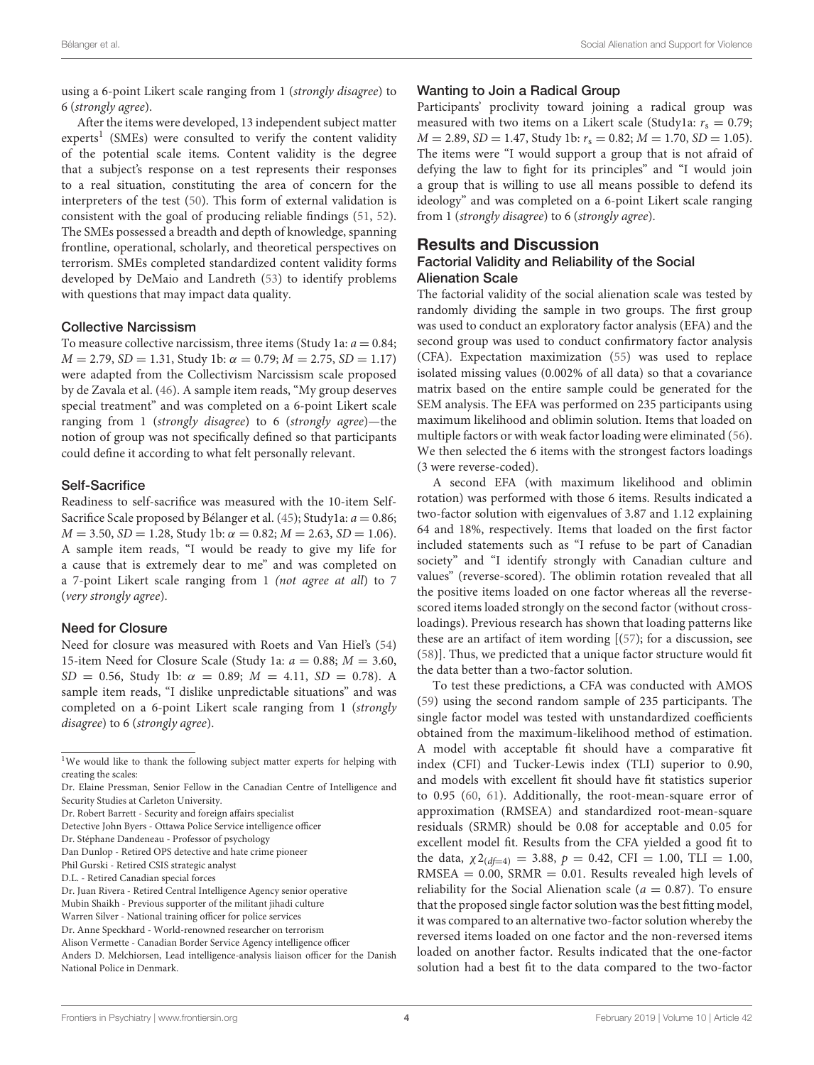using a 6-point Likert scale ranging from 1 (strongly disagree) to 6 (strongly agree).

After the items were developed, 13 independent subject matter experts<sup>[1](#page-3-0)</sup> (SMEs) were consulted to verify the content validity of the potential scale items. Content validity is the degree that a subject's response on a test represents their responses to a real situation, constituting the area of concern for the interpreters of the test [\(50\)](#page-11-13). This form of external validation is consistent with the goal of producing reliable findings [\(51,](#page-11-14) [52\)](#page-11-15). The SMEs possessed a breadth and depth of knowledge, spanning frontline, operational, scholarly, and theoretical perspectives on terrorism. SMEs completed standardized content validity forms developed by DeMaio and Landreth [\(53\)](#page-11-16) to identify problems with questions that may impact data quality.

#### Collective Narcissism

To measure collective narcissism, three items (Study 1a:  $a = 0.84$ ;  $M = 2.79$ ,  $SD = 1.31$ , Study 1b:  $\alpha = 0.79$ ;  $M = 2.75$ ,  $SD = 1.17$ ) were adapted from the Collectivism Narcissism scale proposed by de Zavala et al. [\(46\)](#page-11-9). A sample item reads, "My group deserves special treatment" and was completed on a 6-point Likert scale ranging from 1 (strongly disagree) to 6 (strongly agree)—the notion of group was not specifically defined so that participants could define it according to what felt personally relevant.

#### Self-Sacrifice

Readiness to self-sacrifice was measured with the 10-item Self-Sacrifice Scale proposed by Bélanger et al. [\(45\)](#page-11-8); Study1a:  $a = 0.86$ ;  $M = 3.50$ ,  $SD = 1.28$ , Study 1b:  $\alpha = 0.82$ ;  $M = 2.63$ ,  $SD = 1.06$ ). A sample item reads, "I would be ready to give my life for a cause that is extremely dear to me" and was completed on a 7-point Likert scale ranging from 1 (not agree at all) to 7 (very strongly agree).

#### Need for Closure

Need for closure was measured with Roets and Van Hiel's [\(54\)](#page-11-17) 15-item Need for Closure Scale (Study 1a:  $a = 0.88$ ;  $M = 3.60$ ,  $SD = 0.56$ , Study 1b:  $\alpha = 0.89$ ;  $M = 4.11$ ,  $SD = 0.78$ ). A sample item reads, "I dislike unpredictable situations" and was completed on a 6-point Likert scale ranging from 1 (strongly disagree) to 6 (strongly agree).

- Detective John Byers Ottawa Police Service intelligence officer
- Dr. Stéphane Dandeneau Professor of psychology Dan Dunlop - Retired OPS detective and hate crime pioneer
- Phil Gurski Retired CSIS strategic analyst
- D.L. Retired Canadian special forces

#### Wanting to Join a Radical Group

Participants' proclivity toward joining a radical group was measured with two items on a Likert scale (Study1a:  $r_s = 0.79$ ;  $M = 2.89$ ,  $SD = 1.47$ , Study 1b:  $r_s = 0.82$ ;  $M = 1.70$ ,  $SD = 1.05$ ). The items were "I would support a group that is not afraid of defying the law to fight for its principles" and "I would join a group that is willing to use all means possible to defend its ideology" and was completed on a 6-point Likert scale ranging from 1 (strongly disagree) to 6 (strongly agree).

#### Results and Discussion Factorial Validity and Reliability of the Social Alienation Scale

The factorial validity of the social alienation scale was tested by randomly dividing the sample in two groups. The first group was used to conduct an exploratory factor analysis (EFA) and the second group was used to conduct confirmatory factor analysis (CFA). Expectation maximization [\(55\)](#page-11-18) was used to replace isolated missing values (0.002% of all data) so that a covariance matrix based on the entire sample could be generated for the SEM analysis. The EFA was performed on 235 participants using maximum likelihood and oblimin solution. Items that loaded on multiple factors or with weak factor loading were eliminated [\(56\)](#page-11-19). We then selected the 6 items with the strongest factors loadings (3 were reverse-coded).

A second EFA (with maximum likelihood and oblimin rotation) was performed with those 6 items. Results indicated a two-factor solution with eigenvalues of 3.87 and 1.12 explaining 64 and 18%, respectively. Items that loaded on the first factor included statements such as "I refuse to be part of Canadian society" and "I identify strongly with Canadian culture and values" (reverse-scored). The oblimin rotation revealed that all the positive items loaded on one factor whereas all the reversescored items loaded strongly on the second factor (without crossloadings). Previous research has shown that loading patterns like these are an artifact of item wording [[\(57\)](#page-11-20); for a discussion, see [\(58\)](#page-11-21)]. Thus, we predicted that a unique factor structure would fit the data better than a two-factor solution.

To test these predictions, a CFA was conducted with AMOS [\(59\)](#page-11-22) using the second random sample of 235 participants. The single factor model was tested with unstandardized coefficients obtained from the maximum-likelihood method of estimation. A model with acceptable fit should have a comparative fit index (CFI) and Tucker-Lewis index (TLI) superior to 0.90, and models with excellent fit should have fit statistics superior to 0.95 [\(60,](#page-11-23) [61\)](#page-11-24). Additionally, the root-mean-square error of approximation (RMSEA) and standardized root-mean-square residuals (SRMR) should be 0.08 for acceptable and 0.05 for excellent model fit. Results from the CFA yielded a good fit to the data,  $\chi^2(d_f=4) = 3.88$ ,  $p = 0.42$ , CFI = 1.00, TLI = 1.00,  $RMSEA = 0.00$ ,  $SRMR = 0.01$ . Results revealed high levels of reliability for the Social Alienation scale ( $a = 0.87$ ). To ensure that the proposed single factor solution was the best fitting model, it was compared to an alternative two-factor solution whereby the reversed items loaded on one factor and the non-reversed items loaded on another factor. Results indicated that the one-factor solution had a best fit to the data compared to the two-factor

<span id="page-3-0"></span><sup>&</sup>lt;sup>1</sup>We would like to thank the following subject matter experts for helping with creating the scales:

Dr. Elaine Pressman, Senior Fellow in the Canadian Centre of Intelligence and Security Studies at Carleton University.

Dr. Robert Barrett - Security and foreign affairs specialist

Dr. Juan Rivera - Retired Central Intelligence Agency senior operative

Mubin Shaikh - Previous supporter of the militant jihadi culture

Warren Silver - National training officer for police services

Dr. Anne Speckhard - World-renowned researcher on terrorism

Alison Vermette - Canadian Border Service Agency intelligence officer

Anders D. Melchiorsen, Lead intelligence-analysis liaison officer for the Danish National Police in Denmark.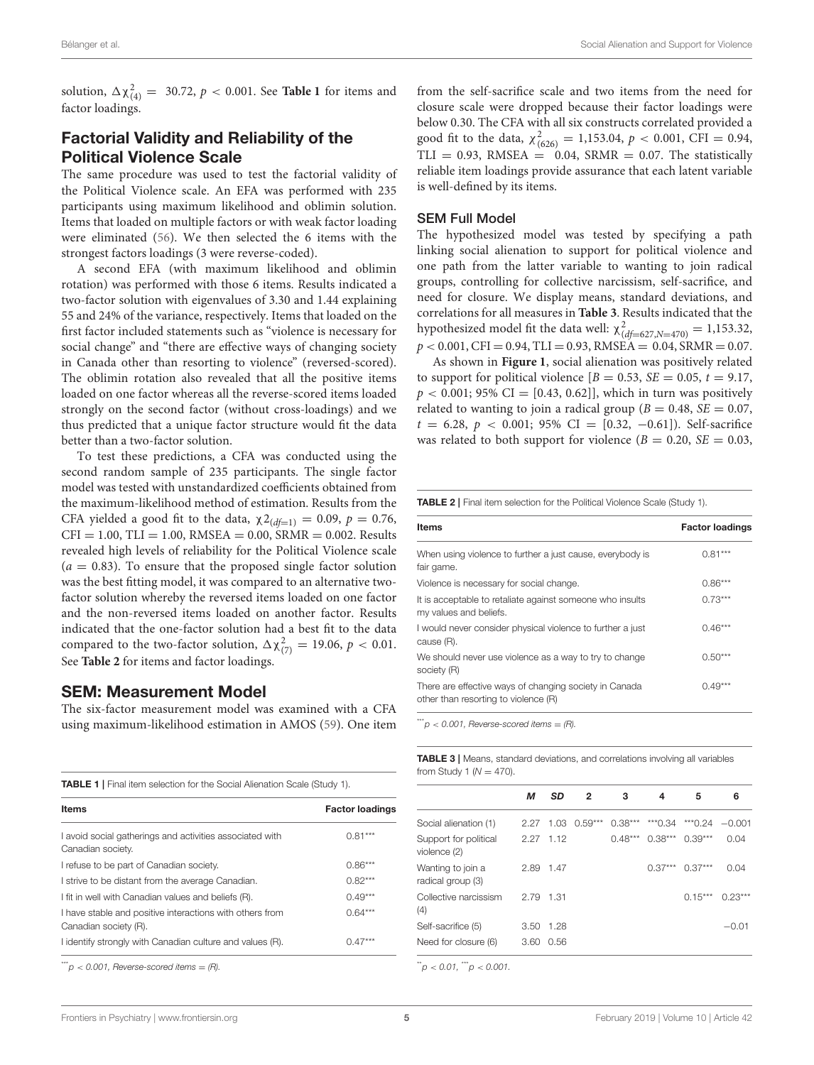solution,  $\Delta \chi^2_{(4)} = 30.72$ ,  $p < 0.001$ . See **[Table 1](#page-4-0)** for items and factor loadings.

# Factorial Validity and Reliability of the Political Violence Scale

The same procedure was used to test the factorial validity of the Political Violence scale. An EFA was performed with 235 participants using maximum likelihood and oblimin solution. Items that loaded on multiple factors or with weak factor loading were eliminated [\(56\)](#page-11-19). We then selected the 6 items with the strongest factors loadings (3 were reverse-coded).

A second EFA (with maximum likelihood and oblimin rotation) was performed with those 6 items. Results indicated a two-factor solution with eigenvalues of 3.30 and 1.44 explaining 55 and 24% of the variance, respectively. Items that loaded on the first factor included statements such as "violence is necessary for social change" and "there are effective ways of changing society in Canada other than resorting to violence" (reversed-scored). The oblimin rotation also revealed that all the positive items loaded on one factor whereas all the reverse-scored items loaded strongly on the second factor (without cross-loadings) and we thus predicted that a unique factor structure would fit the data better than a two-factor solution.

To test these predictions, a CFA was conducted using the second random sample of 235 participants. The single factor model was tested with unstandardized coefficients obtained from the maximum-likelihood method of estimation. Results from the CFA yielded a good fit to the data,  $\chi^2(d_f=1) = 0.09$ ,  $p = 0.76$ ,  $CFI = 1.00$ ,  $TLI = 1.00$ ,  $RMSEA = 0.00$ ,  $SRMR = 0.002$ . Results revealed high levels of reliability for the Political Violence scale  $(a = 0.83)$ . To ensure that the proposed single factor solution was the best fitting model, it was compared to an alternative twofactor solution whereby the reversed items loaded on one factor and the non-reversed items loaded on another factor. Results indicated that the one-factor solution had a best fit to the data compared to the two-factor solution,  $\Delta \chi^2_{(7)} = 19.06, p < 0.01$ . See **[Table 2](#page-4-1)** for items and factor loadings.

#### SEM: Measurement Model

The six-factor measurement model was examined with a CFA using maximum-likelihood estimation in AMOS [\(59\)](#page-11-22). One item

<span id="page-4-0"></span>

| Items                                                                             | <b>Factor loadings</b> |  |  |
|-----------------------------------------------------------------------------------|------------------------|--|--|
| I avoid social gatherings and activities associated with<br>Canadian society.     | $0.81***$              |  |  |
| I refuse to be part of Canadian society.                                          | $0.86***$              |  |  |
| I strive to be distant from the average Canadian.                                 | $0.82***$              |  |  |
| I fit in well with Canadian values and beliefs (R).                               | $0.49***$              |  |  |
| I have stable and positive interactions with others from<br>Canadian society (R). | $0.64***$              |  |  |
| I identify strongly with Canadian culture and values (R).                         | $0.47***$              |  |  |

 $p^*$ p < 0.001, Reverse-scored items = (R).

from the self-sacrifice scale and two items from the need for closure scale were dropped because their factor loadings were below 0.30. The CFA with all six constructs correlated provided a good fit to the data,  $\chi^2_{(626)} = 1,153.04, p < 0.001, CFI = 0.94,$ TLI = 0.93, RMSEA =  $0.04$ , SRMR = 0.07. The statistically reliable item loadings provide assurance that each latent variable is well-defined by its items.

#### SEM Full Model

The hypothesized model was tested by specifying a path linking social alienation to support for political violence and one path from the latter variable to wanting to join radical groups, controlling for collective narcissism, self-sacrifice, and need for closure. We display means, standard deviations, and correlations for all measures in **[Table 3](#page-4-2)**. Results indicated that the hypothesized model fit the data well:  $\chi^2_{(df=627, N=470)} = 1,153.32$ ,  $p < 0.001$ , CFI = 0.94, TLI = 0.93, RMSEA = 0.04, SRMR = 0.07.

As shown in **[Figure 1](#page-5-0)**, social alienation was positively related to support for political violence  $[B = 0.53, SE = 0.05, t = 9.17,$  $p < 0.001$ ; 95% CI = [0.43, 0.62]], which in turn was positively related to wanting to join a radical group ( $B = 0.48$ ,  $SE = 0.07$ ,  $t = 6.28, p < 0.001; 95\% \text{ CI} = [0.32, -0.61]$ . Self-sacrifice was related to both support for violence ( $B = 0.20$ ,  $SE = 0.03$ ,

<span id="page-4-1"></span>TABLE 2 | Final item selection for the Political Violence Scale (Study 1).

| <b>Items</b>                                                                                   | <b>Factor loadings</b> |
|------------------------------------------------------------------------------------------------|------------------------|
| When using violence to further a just cause, everybody is<br>fair game.                        | $0.81***$              |
| Violence is necessary for social change.                                                       | $0.86***$              |
| It is acceptable to retaliate against someone who insults<br>my values and beliefs.            | $0.73***$              |
| I would never consider physical violence to further a just<br>cause (R).                       | $0.46***$              |
| We should never use violence as a way to try to change<br>society (R)                          | $0.50***$              |
| There are effective ways of changing society in Canada<br>other than resorting to violence (R) | $0.49***$              |

 $\sum_{i=1}^{n+1} p < 0.001$ , Reverse-scored items = (R).

<span id="page-4-2"></span>TABLE 3 | Means, standard deviations, and correlations involving all variables from Study 1  $(N = 470)$ .

|                                        | М    | <b>SD</b> | 2         | 3         | 4         | 5          | 6         |
|----------------------------------------|------|-----------|-----------|-----------|-----------|------------|-----------|
| Social alienation (1)                  | 2 27 | 1.03      | $0.59***$ | $0.38***$ | ***0.34   | *** $0.24$ | $-0.001$  |
| Support for political<br>violence (2)  | 2 27 | 1.12      |           | $0.48***$ | $0.38***$ | $0.39***$  | 0.04      |
| Wanting to join a<br>radical group (3) | 2.89 | 1.47      |           |           | $0.37***$ | $0.37***$  | 0.04      |
| Collective narcissism<br>(4)           | 2.79 | 1.31      |           |           |           | $0.15***$  | $0.23***$ |
| Self-sacrifice (5)                     | 3.50 | 1.28      |           |           |           |            | $-0.01$   |
| Need for closure (6)                   | 3.60 | 0.56      |           |           |           |            |           |
|                                        |      |           |           |           |           |            |           |

 $p^*$  < 0.01,  $p^*$  < 0.001.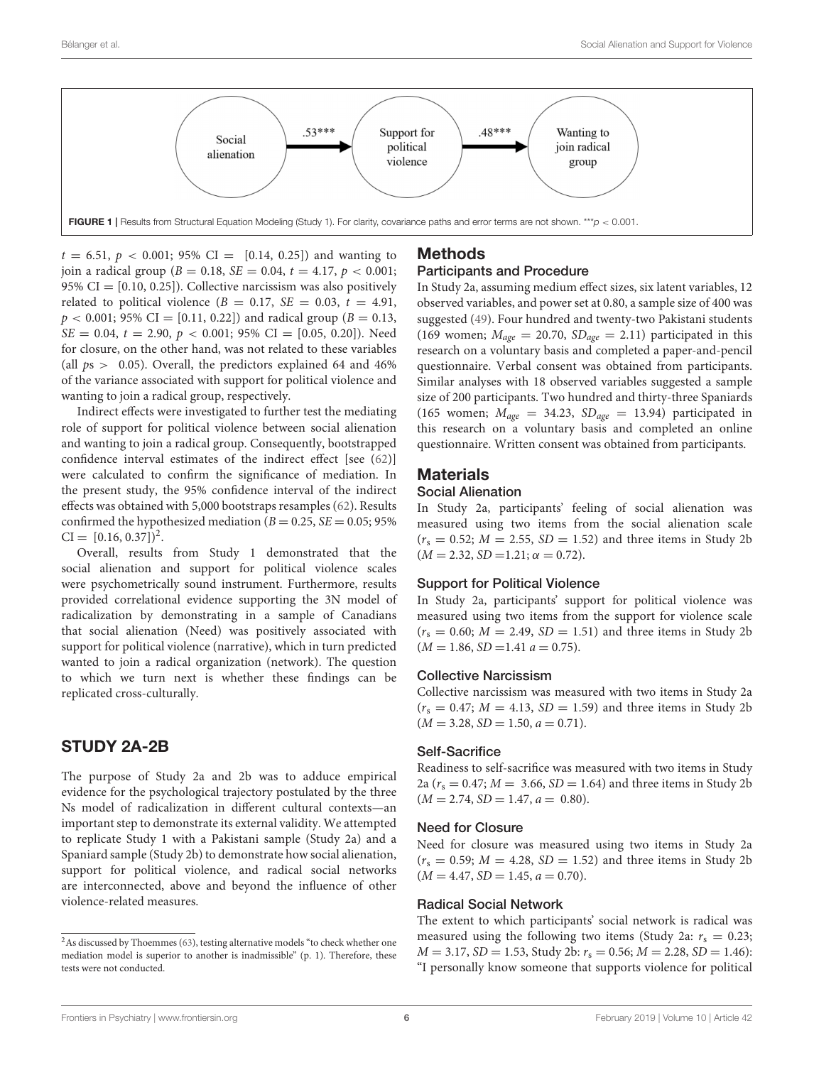

<span id="page-5-0"></span> $t = 6.51, p < 0.001$ ; 95% CI = [0.14, 0.25]) and wanting to join a radical group ( $B = 0.18$ ,  $SE = 0.04$ ,  $t = 4.17$ ,  $p < 0.001$ ; 95%  $CI = [0.10, 0.25]$ . Collective narcissism was also positively related to political violence ( $B = 0.17$ ,  $SE = 0.03$ ,  $t = 4.91$ ,  $p < 0.001$ ; 95% CI = [0.11, 0.22]) and radical group ( $B = 0.13$ ,  $SE = 0.04$ ,  $t = 2.90$ ,  $p < 0.001$ ; 95% CI = [0.05, 0.20]). Need for closure, on the other hand, was not related to these variables (all  $ps > 0.05$ ). Overall, the predictors explained 64 and 46% of the variance associated with support for political violence and wanting to join a radical group, respectively.

Indirect effects were investigated to further test the mediating role of support for political violence between social alienation and wanting to join a radical group. Consequently, bootstrapped confidence interval estimates of the indirect effect [see [\(62\)](#page-11-25)] were calculated to confirm the significance of mediation. In the present study, the 95% confidence interval of the indirect effects was obtained with 5,000 bootstraps resamples [\(62\)](#page-11-25). Results confirmed the hypothesized mediation ( $B = 0.25$ ,  $SE = 0.05$ ; 95%  $CI = [0.16, 0.37])^2$  $CI = [0.16, 0.37])^2$ .

Overall, results from Study 1 demonstrated that the social alienation and support for political violence scales were psychometrically sound instrument. Furthermore, results provided correlational evidence supporting the 3N model of radicalization by demonstrating in a sample of Canadians that social alienation (Need) was positively associated with support for political violence (narrative), which in turn predicted wanted to join a radical organization (network). The question to which we turn next is whether these findings can be replicated cross-culturally.

# STUDY 2A-2B

The purpose of Study 2a and 2b was to adduce empirical evidence for the psychological trajectory postulated by the three Ns model of radicalization in different cultural contexts—an important step to demonstrate its external validity. We attempted to replicate Study 1 with a Pakistani sample (Study 2a) and a Spaniard sample (Study 2b) to demonstrate how social alienation, support for political violence, and radical social networks are interconnected, above and beyond the influence of other violence-related measures.

# Methods

#### Participants and Procedure

In Study 2a, assuming medium effect sizes, six latent variables, 12 observed variables, and power set at 0.80, a sample size of 400 was suggested [\(49\)](#page-11-12). Four hundred and twenty-two Pakistani students (169 women;  $M_{age} = 20.70$ ,  $SD_{age} = 2.11$ ) participated in this research on a voluntary basis and completed a paper-and-pencil questionnaire. Verbal consent was obtained from participants. Similar analyses with 18 observed variables suggested a sample size of 200 participants. Two hundred and thirty-three Spaniards (165 women;  $M_{age} = 34.23$ ,  $SD_{age} = 13.94$ ) participated in this research on a voluntary basis and completed an online questionnaire. Written consent was obtained from participants.

## **Materials**

#### Social Alienation

In Study 2a, participants' feeling of social alienation was measured using two items from the social alienation scale  $(r<sub>s</sub> = 0.52; M = 2.55, SD = 1.52)$  and three items in Study 2b  $(M = 2.32, SD = 1.21; \alpha = 0.72).$ 

#### Support for Political Violence

In Study 2a, participants' support for political violence was measured using two items from the support for violence scale  $(r<sub>s</sub> = 0.60; M = 2.49, SD = 1.51)$  and three items in Study 2b  $(M = 1.86, SD = 1.41 a = 0.75).$ 

#### Collective Narcissism

Collective narcissism was measured with two items in Study 2a  $(r<sub>s</sub> = 0.47; M = 4.13, SD = 1.59)$  and three items in Study 2b  $(M = 3.28, SD = 1.50, a = 0.71).$ 

#### Self-Sacrifice

Readiness to self-sacrifice was measured with two items in Study 2a ( $r_s = 0.47$ ;  $M = 3.66$ ,  $SD = 1.64$ ) and three items in Study 2b  $(M = 2.74, SD = 1.47, a = 0.80).$ 

#### Need for Closure

Need for closure was measured using two items in Study 2a  $(r<sub>s</sub> = 0.59; M = 4.28, SD = 1.52)$  and three items in Study 2b  $(M = 4.47, SD = 1.45, a = 0.70).$ 

#### Radical Social Network

The extent to which participants' social network is radical was measured using the following two items (Study 2a:  $r_s = 0.23$ ;  $M = 3.17$ ,  $SD = 1.53$ , Study 2b:  $r_s = 0.56$ ;  $M = 2.28$ ,  $SD = 1.46$ ): "I personally know someone that supports violence for political

<span id="page-5-1"></span> $^2\!$  As discussed by Thoemmes [\(63\)](#page-11-26), testing alternative models "to check whether one mediation model is superior to another is inadmissible" (p. 1). Therefore, these tests were not conducted.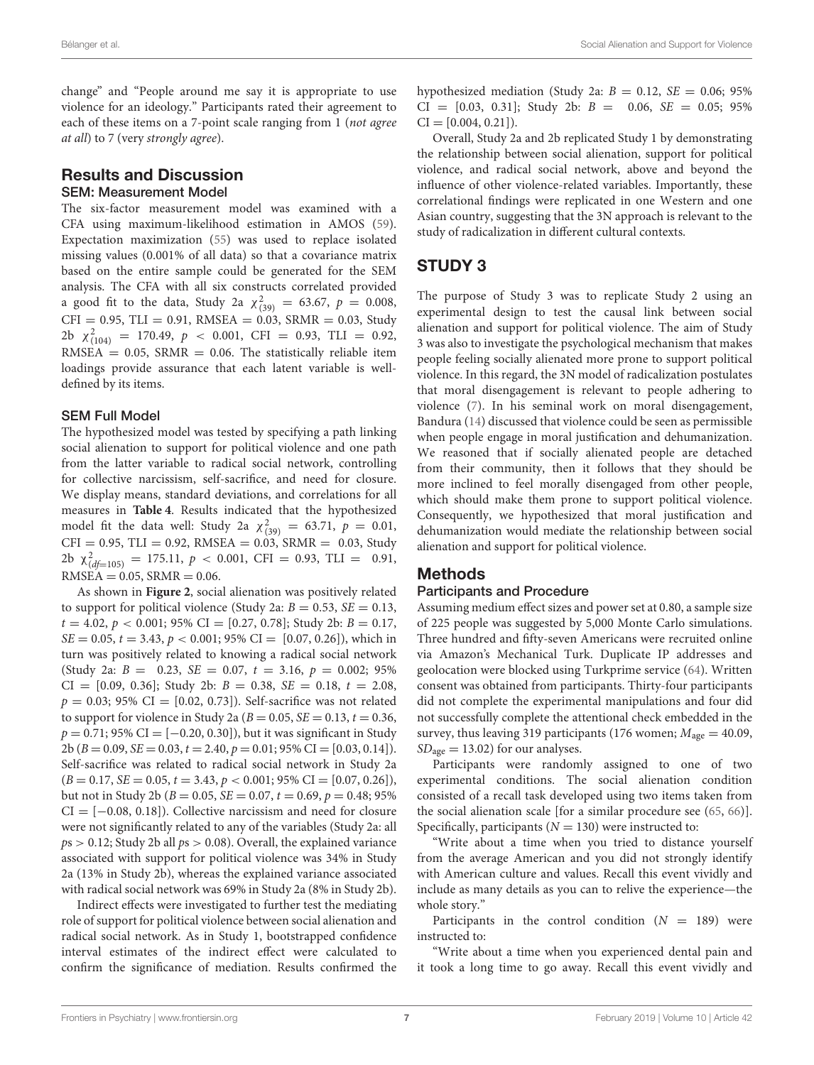change" and "People around me say it is appropriate to use violence for an ideology." Participants rated their agreement to each of these items on a 7-point scale ranging from 1 (not agree at all) to 7 (very strongly agree).

# Results and Discussion

#### SEM: Measurement Model

The six-factor measurement model was examined with a CFA using maximum-likelihood estimation in AMOS [\(59\)](#page-11-22). Expectation maximization [\(55\)](#page-11-18) was used to replace isolated missing values (0.001% of all data) so that a covariance matrix based on the entire sample could be generated for the SEM analysis. The CFA with all six constructs correlated provided a good fit to the data, Study 2a  $\chi^{2}_{(39)} = 63.67, p = 0.008$ ,  $CFI = 0.95$ , TLI = 0.91, RMSEA = 0.03, SRMR = 0.03, Study 2b  $\chi^2_{(104)}$  = 170.49,  $p \le 0.001$ , CFI = 0.93, TLI = 0.92,  $RMSEA = 0.05$ ,  $SRMR = 0.06$ . The statistically reliable item loadings provide assurance that each latent variable is welldefined by its items.

#### SEM Full Model

The hypothesized model was tested by specifying a path linking social alienation to support for political violence and one path from the latter variable to radical social network, controlling for collective narcissism, self-sacrifice, and need for closure. We display means, standard deviations, and correlations for all measures in **[Table 4](#page-7-0)**. Results indicated that the hypothesized model fit the data well: Study 2a  $\chi^{2}_{(39)} = 63.71, p = 0.01,$  $CFI = 0.95$ , TLI = 0.92, RMSEA = 0.03, SRMR = 0.03, Study 2b  $\chi^2_{(df=105)} = 175.11, p < 0.001, CFI = 0.93, TLI = 0.91,$  $RMSEA = 0.05$ ,  $SRMR = 0.06$ .

As shown in **[Figure 2](#page-7-1)**, social alienation was positively related to support for political violence (Study 2a:  $B = 0.53$ ,  $SE = 0.13$ ,  $t = 4.02, p < 0.001; 95\% \text{ CI} = [0.27, 0.78];$  Study 2b:  $B = 0.17$ ,  $SE = 0.05$ ,  $t = 3.43$ ,  $p < 0.001$ ; 95% CI = [0.07, 0.26]), which in turn was positively related to knowing a radical social network (Study 2a:  $B = 0.23$ ,  $SE = 0.07$ ,  $t = 3.16$ ,  $p = 0.002$ ; 95%  $CI = [0.09, 0.36]$ ; Study 2b:  $B = 0.38$ ,  $SE = 0.18$ ,  $t = 2.08$ ,  $p = 0.03$ ; 95% CI = [0.02, 0.73]). Self-sacrifice was not related to support for violence in Study 2a ( $B = 0.05$ ,  $SE = 0.13$ ,  $t = 0.36$ , p = 0.71; 95% CI = [−0.20, 0.30]), but it was significant in Study  $2b (B = 0.09, SE = 0.03, t = 2.40, p = 0.01; 95\% CI = [0.03, 0.14]).$ Self-sacrifice was related to radical social network in Study 2a  $(B = 0.17, SE = 0.05, t = 3.43, p < 0.001; 95\% \text{ CI} = [0.07, 0.26]),$ but not in Study 2b ( $B = 0.05$ ,  $SE = 0.07$ ,  $t = 0.69$ ,  $p = 0.48$ ; 95%  $CI = [-0.08, 0.18]$ . Collective narcissism and need for closure were not significantly related to any of the variables (Study 2a: all  $ps > 0.12$ ; Study 2b all  $ps > 0.08$ ). Overall, the explained variance associated with support for political violence was 34% in Study 2a (13% in Study 2b), whereas the explained variance associated with radical social network was 69% in Study 2a (8% in Study 2b).

Indirect effects were investigated to further test the mediating role of support for political violence between social alienation and radical social network. As in Study 1, bootstrapped confidence interval estimates of the indirect effect were calculated to confirm the significance of mediation. Results confirmed the hypothesized mediation (Study 2a:  $B = 0.12$ ,  $SE = 0.06$ ; 95%  $CI = [0.03, 0.31]$ ; Study 2b:  $B = 0.06$ ,  $SE = 0.05$ ; 95%  $CI = [0.004, 0.21]$ .

Overall, Study 2a and 2b replicated Study 1 by demonstrating the relationship between social alienation, support for political violence, and radical social network, above and beyond the influence of other violence-related variables. Importantly, these correlational findings were replicated in one Western and one Asian country, suggesting that the 3N approach is relevant to the study of radicalization in different cultural contexts.

# STUDY 3

The purpose of Study 3 was to replicate Study 2 using an experimental design to test the causal link between social alienation and support for political violence. The aim of Study 3 was also to investigate the psychological mechanism that makes people feeling socially alienated more prone to support political violence. In this regard, the 3N model of radicalization postulates that moral disengagement is relevant to people adhering to violence [\(7\)](#page-10-5). In his seminal work on moral disengagement, Bandura [\(14\)](#page-10-12) discussed that violence could be seen as permissible when people engage in moral justification and dehumanization. We reasoned that if socially alienated people are detached from their community, then it follows that they should be more inclined to feel morally disengaged from other people, which should make them prone to support political violence. Consequently, we hypothesized that moral justification and dehumanization would mediate the relationship between social alienation and support for political violence.

#### Methods

#### Participants and Procedure

Assuming medium effect sizes and power set at 0.80, a sample size of 225 people was suggested by 5,000 Monte Carlo simulations. Three hundred and fifty-seven Americans were recruited online via Amazon's Mechanical Turk. Duplicate IP addresses and geolocation were blocked using Turkprime service [\(64\)](#page-11-27). Written consent was obtained from participants. Thirty-four participants did not complete the experimental manipulations and four did not successfully complete the attentional check embedded in the survey, thus leaving 319 participants (176 women;  $M_{\text{age}} = 40.09$ ,  $SD<sub>age</sub> = 13.02$ ) for our analyses.

Participants were randomly assigned to one of two experimental conditions. The social alienation condition consisted of a recall task developed using two items taken from the social alienation scale [for a similar procedure see [\(65,](#page-11-28) [66\)](#page-11-29)]. Specifically, participants  $(N = 130)$  were instructed to:

"Write about a time when you tried to distance yourself from the average American and you did not strongly identify with American culture and values. Recall this event vividly and include as many details as you can to relive the experience—the whole story."

Participants in the control condition  $(N = 189)$  were instructed to:

"Write about a time when you experienced dental pain and it took a long time to go away. Recall this event vividly and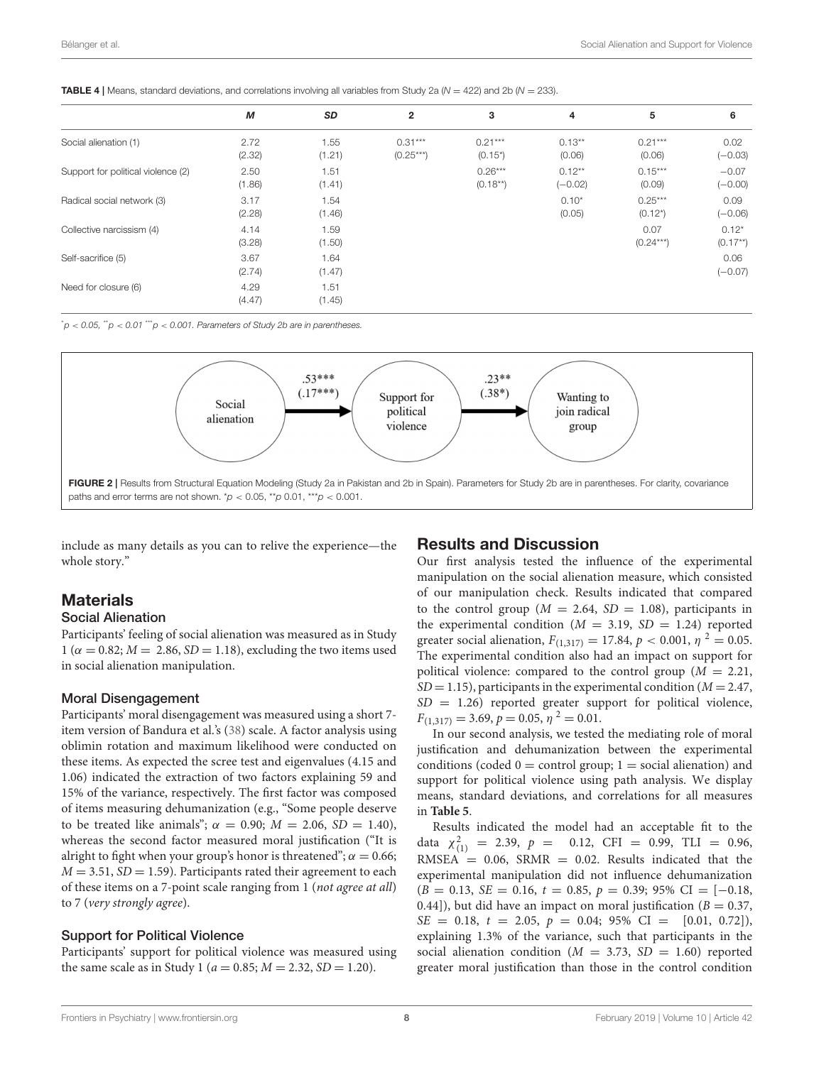|                                    | M              | <b>SD</b>      | $\mathbf{2}$             | 3                       | 4                      | 5                       | 6                     |
|------------------------------------|----------------|----------------|--------------------------|-------------------------|------------------------|-------------------------|-----------------------|
| Social alienation (1)              | 2.72<br>(2.32) | 1.55<br>(1.21) | $0.31***$<br>$(0.25***)$ | $0.21***$<br>$(0.15^*)$ | $0.13***$<br>(0.06)    | $0.21***$<br>(0.06)     | 0.02<br>$(-0.03)$     |
| Support for political violence (2) | 2.50<br>(1.86) | 1.51<br>(1.41) |                          | $0.26***$<br>$(0.18**)$ | $0.12***$<br>$(-0.02)$ | $0.15***$<br>(0.09)     | $-0.07$<br>$(-0.00)$  |
| Radical social network (3)         | 3.17<br>(2.28) | 1.54<br>(1.46) |                          |                         | $0.10*$<br>(0.05)      | $0.25***$<br>$(0.12^*)$ | 0.09<br>$(-0.06)$     |
| Collective narcissism (4)          | 4.14<br>(3.28) | 1.59<br>(1.50) |                          |                         |                        | 0.07<br>$(0.24***)$     | $0.12*$<br>$(0.17**)$ |
| Self-sacrifice (5)                 | 3.67<br>(2.74) | 1.64<br>(1.47) |                          |                         |                        |                         | 0.06<br>$(-0.07)$     |
| Need for closure (6)               | 4.29<br>(4.47) | 1.51<br>(1.45) |                          |                         |                        |                         |                       |

<span id="page-7-0"></span>TABLE 4 | Means, standard deviations, and correlations involving all variables from Study 2a ( $N = 422$ ) and 2b ( $N = 233$ ).

 $p < 0.05$ ,  $p < 0.01$  \*\*\*  $p < 0.001$ . Parameters of Study 2b are in parentheses.



<span id="page-7-1"></span>include as many details as you can to relive the experience—the whole story."

# **Materials**

#### Social Alienation

Participants' feeling of social alienation was measured as in Study 1 ( $\alpha$  = 0.82;  $M = 2.86$ ,  $SD = 1.18$ ), excluding the two items used in social alienation manipulation.

#### Moral Disengagement

Participants' moral disengagement was measured using a short 7 item version of Bandura et al.'s [\(38\)](#page-11-2) scale. A factor analysis using oblimin rotation and maximum likelihood were conducted on these items. As expected the scree test and eigenvalues (4.15 and 1.06) indicated the extraction of two factors explaining 59 and 15% of the variance, respectively. The first factor was composed of items measuring dehumanization (e.g., "Some people deserve to be treated like animals";  $\alpha = 0.90$ ;  $M = 2.06$ ,  $SD = 1.40$ ), whereas the second factor measured moral justification ("It is alright to fight when your group's honor is threatened";  $\alpha = 0.66$ ;  $M = 3.51$ ,  $SD = 1.59$ ). Participants rated their agreement to each of these items on a 7-point scale ranging from 1 (not agree at all) to 7 (very strongly agree).

#### Support for Political Violence

Participants' support for political violence was measured using the same scale as in Study 1 ( $a = 0.85$ ;  $M = 2.32$ ,  $SD = 1.20$ ).

# Results and Discussion

Our first analysis tested the influence of the experimental manipulation on the social alienation measure, which consisted of our manipulation check. Results indicated that compared to the control group ( $M = 2.64$ ,  $SD = 1.08$ ), participants in the experimental condition ( $M = 3.19$ ,  $SD = 1.24$ ) reported greater social alienation,  $F_{(1,317)} = 17.84$ ,  $p < 0.001$ ,  $\eta^2 = 0.05$ . The experimental condition also had an impact on support for political violence: compared to the control group ( $M = 2.21$ ,  $SD = 1.15$ ), participants in the experimental condition ( $M = 2.47$ ,  $SD = 1.26$ ) reported greater support for political violence,  $F_{(1,317)} = 3.69, p = 0.05, \eta^2 = 0.01.$ 

In our second analysis, we tested the mediating role of moral justification and dehumanization between the experimental conditions (coded  $0 =$  control group;  $1 =$  social alienation) and support for political violence using path analysis. We display means, standard deviations, and correlations for all measures in **[Table 5](#page-8-0)**.

Results indicated the model had an acceptable fit to the data  $\chi^2_{(1)}$  = 2.39,  $p$  = 0.12, CFI = 0.99, TLI = 0.96,  $RMSEA = 0.06$ ,  $SRMR = 0.02$ . Results indicated that the experimental manipulation did not influence dehumanization  $(B = 0.13, SE = 0.16, t = 0.85, p = 0.39; 95\% \text{ CI} = [-0.18,$ 0.44]), but did have an impact on moral justification ( $B = 0.37$ ,  $SE = 0.18$ ,  $t = 2.05$ ,  $p = 0.04$ ; 95% CI = [0.01, 0.72]), explaining 1.3% of the variance, such that participants in the social alienation condition ( $M = 3.73$ ,  $SD = 1.60$ ) reported greater moral justification than those in the control condition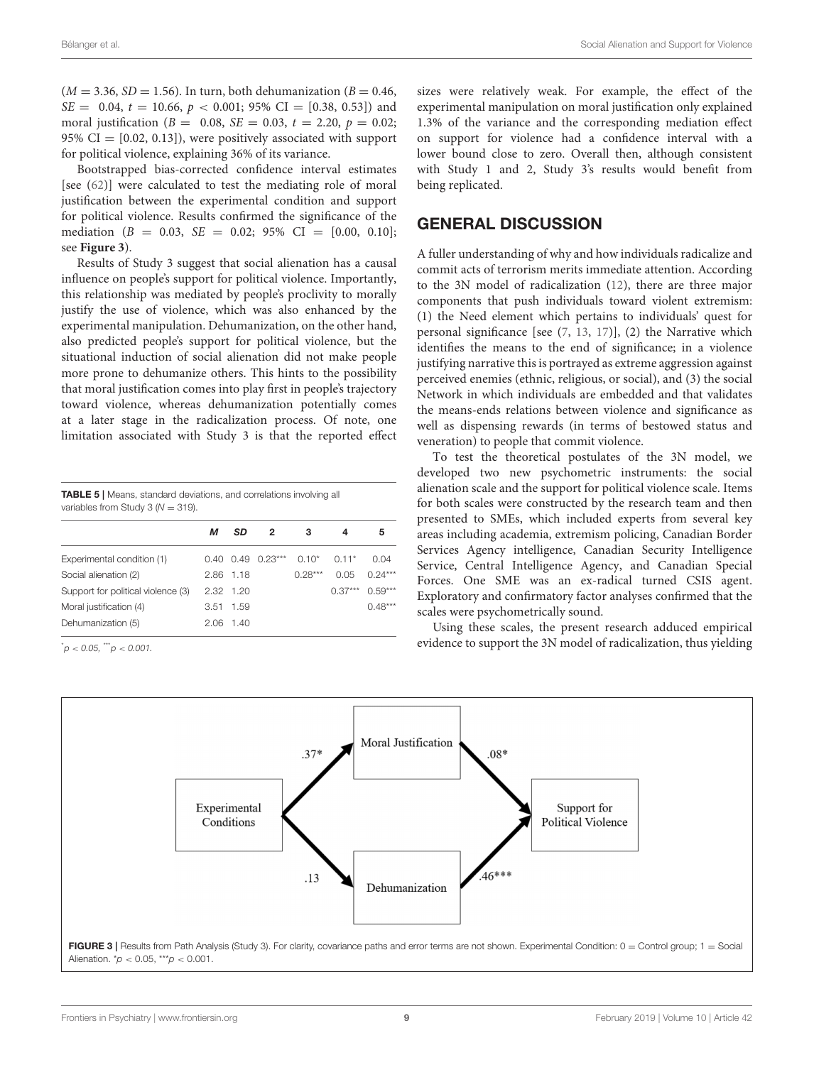$(M = 3.36, SD = 1.56)$ . In turn, both dehumanization ( $B = 0.46$ ,  $SE = 0.04$ ,  $t = 10.66$ ,  $p < 0.001$ ; 95% CI = [0.38, 0.53]) and moral justification ( $B = 0.08$ ,  $SE = 0.03$ ,  $t = 2.20$ ,  $p = 0.02$ ; 95% CI =  $[0.02, 0.13]$ , were positively associated with support for political violence, explaining 36% of its variance.

Bootstrapped bias-corrected confidence interval estimates [see [\(62\)](#page-11-25)] were calculated to test the mediating role of moral justification between the experimental condition and support for political violence. Results confirmed the significance of the mediation ( $B = 0.03$ ,  $SE = 0.02$ ; 95% CI = [0.00, 0.10]; see **[Figure 3](#page-8-1)**).

Results of Study 3 suggest that social alienation has a causal influence on people's support for political violence. Importantly, this relationship was mediated by people's proclivity to morally justify the use of violence, which was also enhanced by the experimental manipulation. Dehumanization, on the other hand, also predicted people's support for political violence, but the situational induction of social alienation did not make people more prone to dehumanize others. This hints to the possibility that moral justification comes into play first in people's trajectory toward violence, whereas dehumanization potentially comes at a later stage in the radicalization process. Of note, one limitation associated with Study 3 is that the reported effect

<span id="page-8-0"></span>

| <b>TABLE 5</b>   Means, standard deviations, and correlations involving all |  |
|-----------------------------------------------------------------------------|--|
| variables from Study 3 $(N = 319)$ .                                        |  |

|                                    | м    | <b>SD</b>   | -2                      | з         |                   | 5         |
|------------------------------------|------|-------------|-------------------------|-----------|-------------------|-----------|
| Experimental condition (1)         |      |             | $0.40$ $0.49$ $0.23***$ |           | $0.10^*$ $0.11^*$ | 0.04      |
| Social alienation (2)              |      | 2.86 1.18   |                         | $0.28***$ | 0.05              | $0.24***$ |
| Support for political violence (3) |      | 2.32 1.20   |                         |           | $0.37***$         | $0.59***$ |
| Moral justification (4)            | 3.51 | 1.59        |                         |           |                   | $0.48***$ |
| Dehumanization (5)                 |      | $2.06$ 1.40 |                         |           |                   |           |

 $p < 0.05$ ,  $m_p < 0.001$ .

sizes were relatively weak. For example, the effect of the experimental manipulation on moral justification only explained 1.3% of the variance and the corresponding mediation effect on support for violence had a confidence interval with a lower bound close to zero. Overall then, although consistent with Study 1 and 2, Study 3's results would benefit from being replicated.

## GENERAL DISCUSSION

A fuller understanding of why and how individuals radicalize and commit acts of terrorism merits immediate attention. According to the 3N model of radicalization [\(12\)](#page-10-10), there are three major components that push individuals toward violent extremism: (1) the Need element which pertains to individuals' quest for personal significance [see [\(7,](#page-10-5) [13,](#page-10-11) [17\)](#page-10-15)], (2) the Narrative which identifies the means to the end of significance; in a violence justifying narrative this is portrayed as extreme aggression against perceived enemies (ethnic, religious, or social), and (3) the social Network in which individuals are embedded and that validates the means-ends relations between violence and significance as well as dispensing rewards (in terms of bestowed status and veneration) to people that commit violence.

To test the theoretical postulates of the 3N model, we developed two new psychometric instruments: the social alienation scale and the support for political violence scale. Items for both scales were constructed by the research team and then presented to SMEs, which included experts from several key areas including academia, extremism policing, Canadian Border Services Agency intelligence, Canadian Security Intelligence Service, Central Intelligence Agency, and Canadian Special Forces. One SME was an ex-radical turned CSIS agent. Exploratory and confirmatory factor analyses confirmed that the scales were psychometrically sound.

Using these scales, the present research adduced empirical evidence to support the 3N model of radicalization, thus yielding

<span id="page-8-1"></span>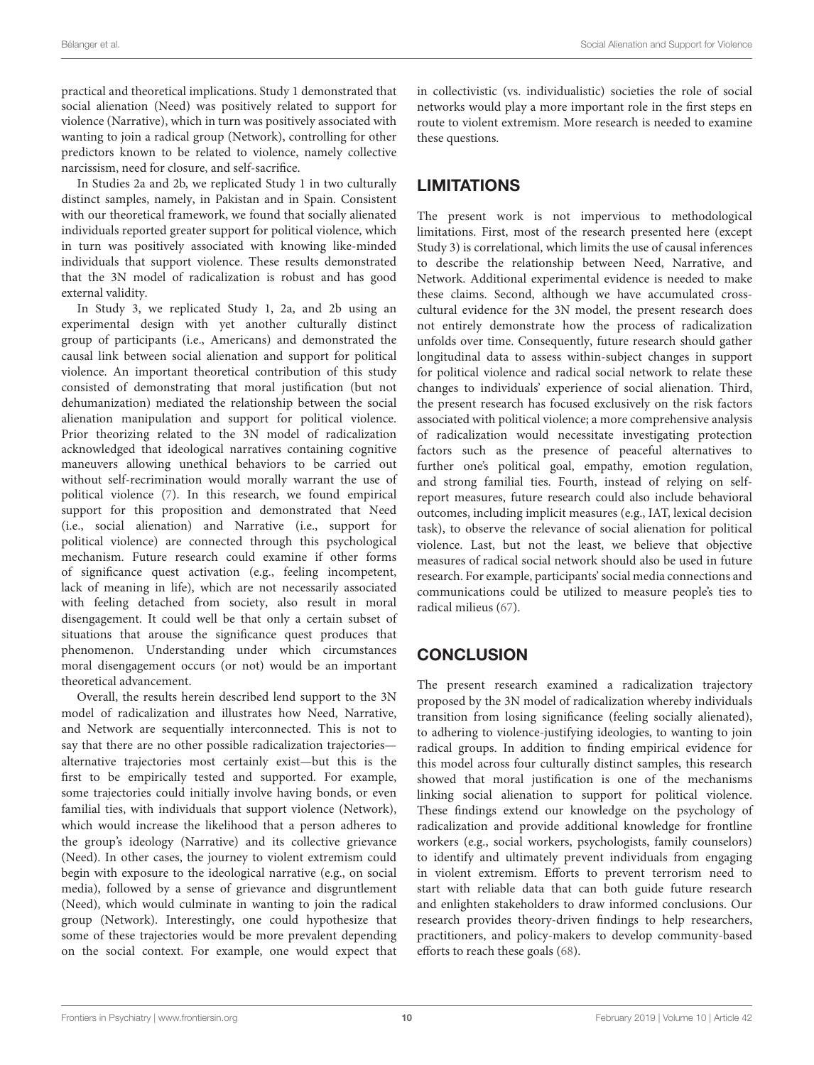practical and theoretical implications. Study 1 demonstrated that social alienation (Need) was positively related to support for violence (Narrative), which in turn was positively associated with wanting to join a radical group (Network), controlling for other predictors known to be related to violence, namely collective narcissism, need for closure, and self-sacrifice.

In Studies 2a and 2b, we replicated Study 1 in two culturally distinct samples, namely, in Pakistan and in Spain. Consistent with our theoretical framework, we found that socially alienated individuals reported greater support for political violence, which in turn was positively associated with knowing like-minded individuals that support violence. These results demonstrated that the 3N model of radicalization is robust and has good external validity.

In Study 3, we replicated Study 1, 2a, and 2b using an experimental design with yet another culturally distinct group of participants (i.e., Americans) and demonstrated the causal link between social alienation and support for political violence. An important theoretical contribution of this study consisted of demonstrating that moral justification (but not dehumanization) mediated the relationship between the social alienation manipulation and support for political violence. Prior theorizing related to the 3N model of radicalization acknowledged that ideological narratives containing cognitive maneuvers allowing unethical behaviors to be carried out without self-recrimination would morally warrant the use of political violence [\(7\)](#page-10-5). In this research, we found empirical support for this proposition and demonstrated that Need (i.e., social alienation) and Narrative (i.e., support for political violence) are connected through this psychological mechanism. Future research could examine if other forms of significance quest activation (e.g., feeling incompetent, lack of meaning in life), which are not necessarily associated with feeling detached from society, also result in moral disengagement. It could well be that only a certain subset of situations that arouse the significance quest produces that phenomenon. Understanding under which circumstances moral disengagement occurs (or not) would be an important theoretical advancement.

Overall, the results herein described lend support to the 3N model of radicalization and illustrates how Need, Narrative, and Network are sequentially interconnected. This is not to say that there are no other possible radicalization trajectories alternative trajectories most certainly exist—but this is the first to be empirically tested and supported. For example, some trajectories could initially involve having bonds, or even familial ties, with individuals that support violence (Network), which would increase the likelihood that a person adheres to the group's ideology (Narrative) and its collective grievance (Need). In other cases, the journey to violent extremism could begin with exposure to the ideological narrative (e.g., on social media), followed by a sense of grievance and disgruntlement (Need), which would culminate in wanting to join the radical group (Network). Interestingly, one could hypothesize that some of these trajectories would be more prevalent depending on the social context. For example, one would expect that in collectivistic (vs. individualistic) societies the role of social networks would play a more important role in the first steps en route to violent extremism. More research is needed to examine these questions.

# LIMITATIONS

The present work is not impervious to methodological limitations. First, most of the research presented here (except Study 3) is correlational, which limits the use of causal inferences to describe the relationship between Need, Narrative, and Network. Additional experimental evidence is needed to make these claims. Second, although we have accumulated crosscultural evidence for the 3N model, the present research does not entirely demonstrate how the process of radicalization unfolds over time. Consequently, future research should gather longitudinal data to assess within-subject changes in support for political violence and radical social network to relate these changes to individuals' experience of social alienation. Third, the present research has focused exclusively on the risk factors associated with political violence; a more comprehensive analysis of radicalization would necessitate investigating protection factors such as the presence of peaceful alternatives to further one's political goal, empathy, emotion regulation, and strong familial ties. Fourth, instead of relying on selfreport measures, future research could also include behavioral outcomes, including implicit measures (e.g., IAT, lexical decision task), to observe the relevance of social alienation for political violence. Last, but not the least, we believe that objective measures of radical social network should also be used in future research. For example, participants' social media connections and communications could be utilized to measure people's ties to radical milieus [\(67\)](#page-11-30).

# **CONCLUSION**

The present research examined a radicalization trajectory proposed by the 3N model of radicalization whereby individuals transition from losing significance (feeling socially alienated), to adhering to violence-justifying ideologies, to wanting to join radical groups. In addition to finding empirical evidence for this model across four culturally distinct samples, this research showed that moral justification is one of the mechanisms linking social alienation to support for political violence. These findings extend our knowledge on the psychology of radicalization and provide additional knowledge for frontline workers (e.g., social workers, psychologists, family counselors) to identify and ultimately prevent individuals from engaging in violent extremism. Efforts to prevent terrorism need to start with reliable data that can both guide future research and enlighten stakeholders to draw informed conclusions. Our research provides theory-driven findings to help researchers, practitioners, and policy-makers to develop community-based efforts to reach these goals [\(68\)](#page-11-31).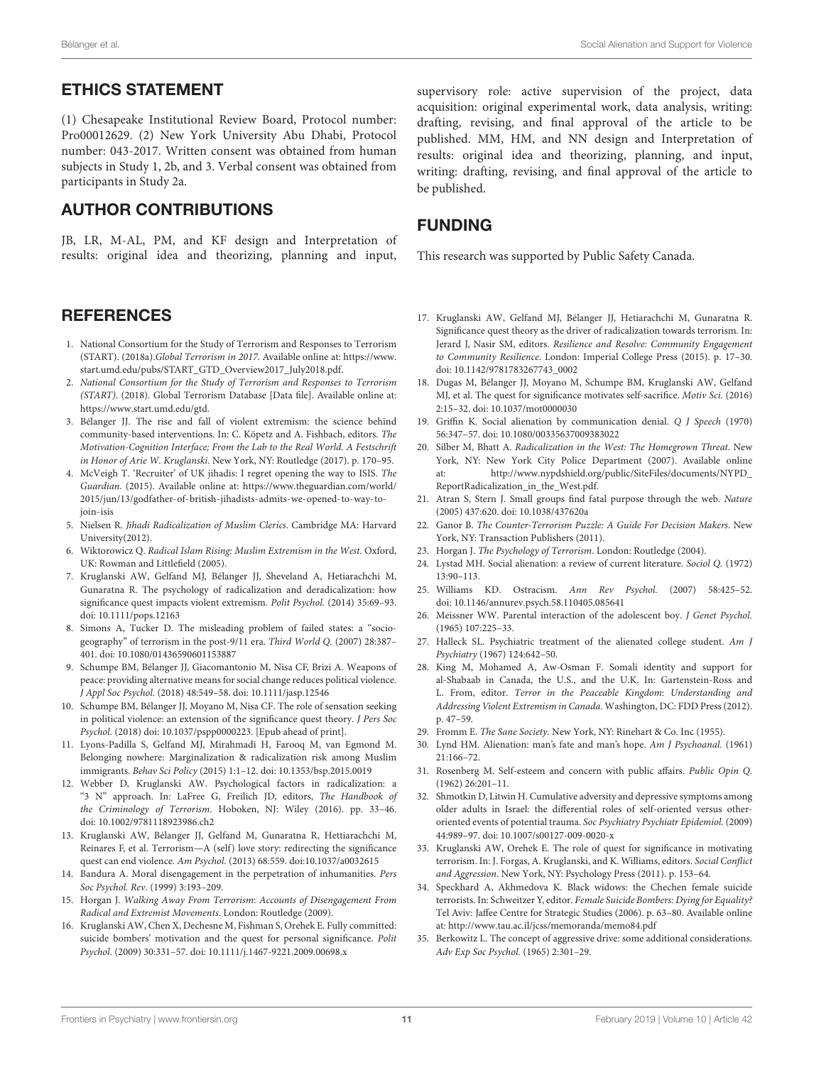# ETHICS STATEMENT

(1) Chesapeake Institutional Review Board, Protocol number: Pro00012629. (2) New York University Abu Dhabi, Protocol number: 043-2017. Written consent was obtained from human subjects in Study 1, 2b, and 3. Verbal consent was obtained from participants in Study 2a.

# AUTHOR CONTRIBUTIONS

JB, LR, M-AL, PM, and KF design and Interpretation of results: original idea and theorizing, planning and input,

## **REFERENCES**

- <span id="page-10-0"></span>1. National Consortium for the Study of Terrorism and Responses to Terrorism (START). (2018a).Global Terrorism in 2017. Available online at: [https://www.](https://www.start.umd.edu/pubs/START_GTD_Overview2017_July2018.pdf) [start.umd.edu/pubs/START\\_GTD\\_Overview2017\\_July2018.pdf.](https://www.start.umd.edu/pubs/START_GTD_Overview2017_July2018.pdf)
- <span id="page-10-1"></span>2. National Consortium for the Study of Terrorism and Responses to Terrorism (START). (2018). Global Terrorism Database [Data file]. Available online at: [https://www.start.umd.edu/gtd.](https://www.start.umd.edu/gtd)
- <span id="page-10-2"></span>3. Bélanger JJ. The rise and fall of violent extremism: the science behind community-based interventions. In: C. Köpetz and A. Fishbach, editors. The Motivation-Cognition Interface; From the Lab to the Real World. A Festschrift in Honor of Arie W. Kruglanski. New York, NY: Routledge (2017). p. 170–95.
- <span id="page-10-3"></span>4. McVeigh T. 'Recruiter' of UK jihadis: I regret opening the way to ISIS. The Guardian. (2015). Available online at: [https://www.theguardian.com/world/](https://www.theguardian.com/world/2015/jun/13/godfather-of-british-jihadists-admits-we-opened-to-way-to-join-isis) [2015/jun/13/godfather-of-british-jihadists-admits-we-opened-to-way-to](https://www.theguardian.com/world/2015/jun/13/godfather-of-british-jihadists-admits-we-opened-to-way-to-join-isis)[join-isis](https://www.theguardian.com/world/2015/jun/13/godfather-of-british-jihadists-admits-we-opened-to-way-to-join-isis)
- <span id="page-10-28"></span>5. Nielsen R. Jihadi Radicalization of Muslim Clerics. Cambridge MA: Harvard University(2012).
- <span id="page-10-4"></span>6. Wiktorowicz Q. Radical Islam Rising: Muslim Extremism in the West. Oxford, UK: Rowman and Littlefield (2005).
- <span id="page-10-5"></span>7. Kruglanski AW, Gelfand MJ, Bélanger JJ, Sheveland A, Hetiarachchi M, Gunaratna R. The psychology of radicalization and deradicalization: how significance quest impacts violent extremism. Polit Psychol. (2014) 35:69–93. doi: [10.1111/pops.12163](https://doi.org/10.1111/pops.12163)
- <span id="page-10-6"></span>8. Simons A, Tucker D. The misleading problem of failed states: a "sociogeography" of terrorism in the post-9/11 era. Third World Q. (2007) 28:387– 401. doi: [10.1080/01436590601153887](https://doi.org/10.1080/01436590601153887)
- <span id="page-10-7"></span>9. Schumpe BM, Bélanger JJ, Giacomantonio M, Nisa CF, Brizi A. Weapons of peace: providing alternative means for social change reduces political violence. J Appl Soc Psychol. (2018) 48:549–58. doi: [10.1111/jasp.12546](https://doi.org/10.1111/jasp.12546)
- <span id="page-10-8"></span>10. Schumpe BM, Bélanger JJ, Moyano M, Nisa CF. The role of sensation seeking in political violence: an extension of the significance quest theory. J Pers Soc Psychol. (2018) doi: [10.1037/pspp0000223.](https://doi.org/10.1037/pspp0000223) [Epub ahead of print].
- <span id="page-10-9"></span>11. Lyons-Padilla S, Gelfand MJ, Mirahmadi H, Farooq M, van Egmond M. Belonging nowhere: Marginalization & radicalization risk among Muslim immigrants. Behav Sci Policy (2015) 1:1–12. doi: [10.1353/bsp.2015.0019](https://doi.org/10.1353/bsp.2015.0019)
- <span id="page-10-10"></span>12. Webber D, Kruglanski AW. Psychological factors in radicalization: a "3 N" approach. In: LaFree G, Freilich JD, editors, The Handbook of the Criminology of Terrorism. Hoboken, NJ: Wiley (2016). pp. 33–46. doi: [10.1002/9781118923986.ch2](https://doi.org/10.1002/9781118923986.ch2)
- <span id="page-10-11"></span>13. Kruglanski AW, Bélanger JJ, Gelfand M, Gunaratna R, Hettiarachchi M, Reinares F, et al. Terrorism—A (self) love story: redirecting the significance quest can end violence. Am Psychol. (2013) 68:559. doi:10.1037/a0032615
- <span id="page-10-12"></span>14. Bandura A. Moral disengagement in the perpetration of inhumanities. Pers Soc Psychol. Rev. (1999) 3:193–209.
- <span id="page-10-13"></span>15. Horgan J. Walking Away From Terrorism: Accounts of Disengagement From Radical and Extremist Movements. London: Routledge (2009).
- <span id="page-10-14"></span>16. Kruglanski AW, Chen X, Dechesne M, Fishman S, Orehek E. Fully committed: suicide bombers' motivation and the quest for personal significance. Polit Psychol. (2009) 30:331–57. doi: [10.1111/j.1467-9221.2009.00698.x](https://doi.org/10.1111/j.1467-9221.2009.00698.x)

supervisory role: active supervision of the project, data acquisition: original experimental work, data analysis, writing: drafting, revising, and final approval of the article to be published. MM, HM, and NN design and Interpretation of results: original idea and theorizing, planning, and input, writing: drafting, revising, and final approval of the article to be published.

## FUNDING

This research was supported by Public Safety Canada.

- <span id="page-10-15"></span>17. Kruglanski AW, Gelfand MJ, Bélanger JJ, Hetiarachchi M, Gunaratna R. Significance quest theory as the driver of radicalization towards terrorism. In: Jerard J, Nasir SM, editors. Resilience and Resolve: Community Engagement to Community Resilience. London: Imperial College Press (2015). p. 17–30. doi: [10.1142/9781783267743\\_0002](https://doi.org/10.1142/9781783267743_0002)
- <span id="page-10-16"></span>18. Dugas M, Bélanger JJ, Moyano M, Schumpe BM, Kruglanski AW, Gelfand MJ, et al. The quest for significance motivates self-sacrifice. Motiv Sci. (2016) 2:15–32. doi: [10.1037/mot0000030](https://doi.org/10.1037/mot0000030)
- <span id="page-10-17"></span>19. Griffin K. Social alienation by communication denial. Q J Speech (1970) 56:347–57. doi: [10.1080/00335637009383022](https://doi.org/10.1080/00335637009383022)
- <span id="page-10-18"></span>20. Silber M, Bhatt A. Radicalization in the West: The Homegrown Threat. New York, NY: New York City Police Department (2007). Available online at: [http://www.nypdshield.org/public/SiteFiles/documents/NYPD\\_](http://www.nypdshield.org/public/SiteFiles/documents/NYPD_ReportRadicalization_in_the_West.pdf) [ReportRadicalization\\_in\\_the\\_West.pdf.](http://www.nypdshield.org/public/SiteFiles/documents/NYPD_ReportRadicalization_in_the_West.pdf)
- 21. Atran S, Stern J. Small groups find fatal purpose through the web. Nature (2005) 437:620. doi: [10.1038/437620a](https://doi.org/10.1038/437620a)
- 22. Ganor B. The Counter-Terrorism Puzzle: A Guide For Decision Makers. New York, NY: Transaction Publishers (2011).
- <span id="page-10-19"></span>23. Horgan J. The Psychology of Terrorism. London: Routledge (2004).
- <span id="page-10-20"></span>24. Lystad MH. Social alienation: a review of current literature. Sociol Q. (1972) 13:90–113.
- <span id="page-10-21"></span>25. Williams KD. Ostracism. Ann Rev Psychol. (2007) 58:425–52. doi: [10.1146/annurev.psych.58.110405.085641](https://doi.org/10.1146/annurev.psych.58.110405.085641)
- <span id="page-10-22"></span>26. Meissner WW. Parental interaction of the adolescent boy. J Genet Psychol. (1965) 107:225–33.
- 27. Halleck SL. Psychiatric treatment of the alienated college student. Am J Psychiatry (1967) 124:642–50.
- <span id="page-10-23"></span>28. King M, Mohamed A, Aw-Osman F. Somali identity and support for al-Shabaab in Canada, the U.S., and the U.K. In: Gartenstein-Ross and L. From, editor. Terror in the Peaceable Kingdom: Understanding and Addressing Violent Extremism in Canada. Washington, DC: FDD Press (2012). p. 47–59.
- <span id="page-10-24"></span>29. Fromm E. The Sane Society. New York, NY: Rinehart & Co. Inc (1955).
- <span id="page-10-25"></span>30. Lynd HM. Alienation: man's fate and man's hope. Am J Psychoanal. (1961) 21:166–72.
- <span id="page-10-26"></span>31. Rosenberg M. Self-esteem and concern with public affairs. Public Opin Q. (1962) 26:201–11.
- <span id="page-10-27"></span>32. Shmotkin D, Litwin H. Cumulative adversity and depressive symptoms among older adults in Israel: the differential roles of self-oriented versus otheroriented events of potential trauma. Soc Psychiatry Psychiatr Epidemiol. (2009) 44:989–97. doi: [10.1007/s00127-009-0020-x](https://doi.org/10.1007/s00127-009-0020-x)
- <span id="page-10-29"></span>33. Kruglanski AW, Orehek E. The role of quest for significance in motivating terrorism. In: J. Forgas, A. Kruglanski, and K. Williams, editors. Social Conflict and Aggression. New York, NY: Psychology Press (2011). p. 153–64.
- <span id="page-10-30"></span>34. Speckhard A, Akhmedova K. Black widows: the Chechen female suicide terrorists. In: Schweitzer Y, editor. Female Suicide Bombers: Dying for Equality? Tel Aviv: Jaffee Centre for Strategic Studies (2006). p. 63–80. Available online at:<http://www.tau.ac.il/jcss/memoranda/memo84.pdf>
- <span id="page-10-31"></span>35. Berkowitz L. The concept of aggressive drive: some additional considerations. Adv Exp Soc Psychol. (1965) 2:301–29.